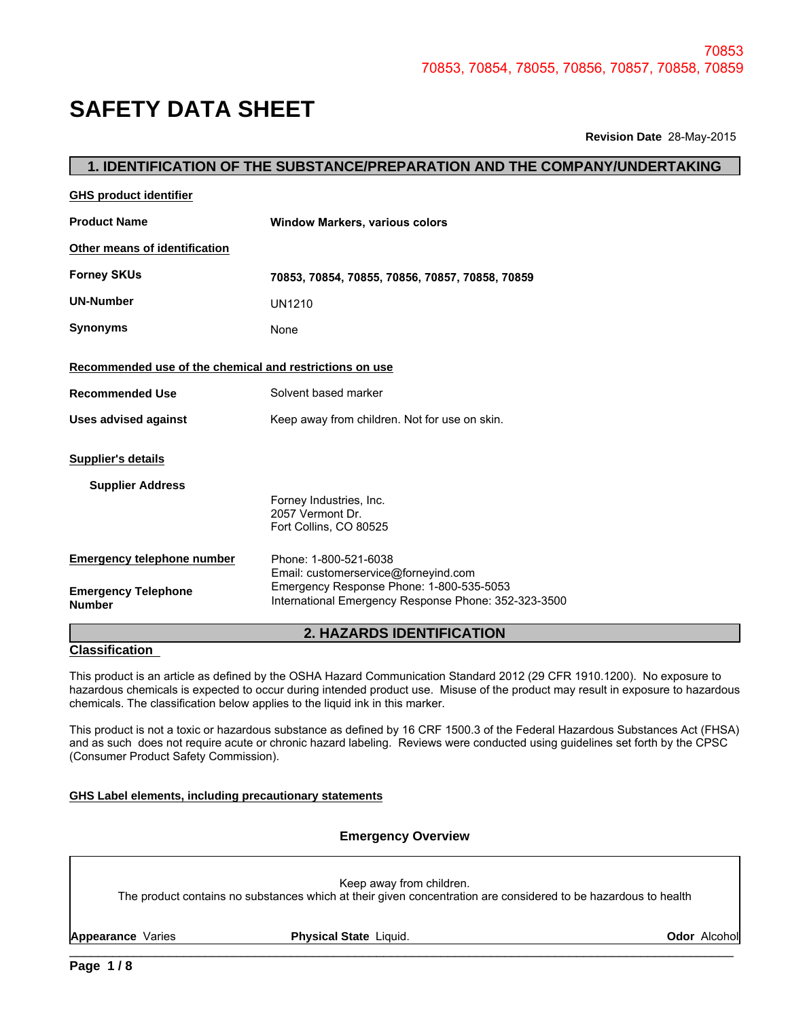# **SAFETY DATA SHEET**

|                                                         |                                                                                                  | 70853 |
|---------------------------------------------------------|--------------------------------------------------------------------------------------------------|-------|
|                                                         | 70853, 70854, 78055, 70856, 70857, 70858, 70859                                                  |       |
| <b>SAFETY DATA SHEET</b>                                |                                                                                                  |       |
|                                                         | Revision Date 28-May-2015                                                                        |       |
|                                                         | 1. IDENTIFICATION OF THE SUBSTANCE/PREPARATION AND THE COMPANY/UNDERTAKING                       |       |
| <b>GHS product identifier</b>                           |                                                                                                  |       |
| <b>Product Name</b>                                     | <b>Window Markers, various colors</b>                                                            |       |
| Other means of identification                           |                                                                                                  |       |
| <b>Forney SKUs</b>                                      | 70853, 70854, 70855, 70856, 70857, 70858, 70859                                                  |       |
| <b>UN-Number</b>                                        | <b>UN1210</b>                                                                                    |       |
| <b>Synonyms</b>                                         | None                                                                                             |       |
| Recommended use of the chemical and restrictions on use |                                                                                                  |       |
| <b>Recommended Use</b>                                  | Solvent based marker                                                                             |       |
| <b>Uses advised against</b>                             | Keep away from children. Not for use on skin.                                                    |       |
| <b>Supplier's details</b>                               |                                                                                                  |       |
| <b>Supplier Address</b>                                 | Forney Industries, Inc.<br>2057 Vermont Dr.<br>Fort Collins, CO 80525                            |       |
| <b>Emergency telephone number</b>                       | Phone: 1-800-521-6038<br>Email: customerservice@forneyind.com                                    |       |
| <b>Emergency Telephone</b><br><b>Number</b>             | Emergency Response Phone: 1-800-535-5053<br>International Emergency Response Phone: 352-323-3500 |       |
|                                                         | 2. HAZARDS IDENTIFICATION                                                                        |       |

### **Classification**

This product is an article as defined by the OSHA Hazard Communication Standard 2012 (29 CFR 1910.1200). No exposure to hazardous chemicals is expected to occur during intended product use. Misuse of the product may result in exposure to hazardous chemicals. The classification below applies to the liquid ink in this marker.

This product is not a toxic or hazardous substance as defined by 16 CRF 1500.3 of the Federal Hazardous Substances Act (FHSA) and as such does not require acute or chronic hazard labeling. Reviews were conducted using guidelines set forth by the CPSC (Consumer Product Safety Commission).

### **GHS Label elements, including precautionary statements**

### **Emergency Overview**

Keep away from children.

The product contains no substances which at their given concentration are considered to be hazardous to health

\_\_\_\_\_\_\_\_\_\_\_\_\_\_\_\_\_\_\_\_\_\_\_\_\_\_\_\_\_\_\_\_\_\_\_\_\_\_\_\_\_\_\_\_\_\_\_\_\_\_\_\_\_\_\_\_\_\_\_\_\_\_\_\_\_\_\_\_\_\_\_\_\_\_\_\_\_\_\_\_\_\_\_\_\_\_\_\_\_\_\_\_\_ **Appearance** Varies **Physical State** Liquid. **Odor** Alcohol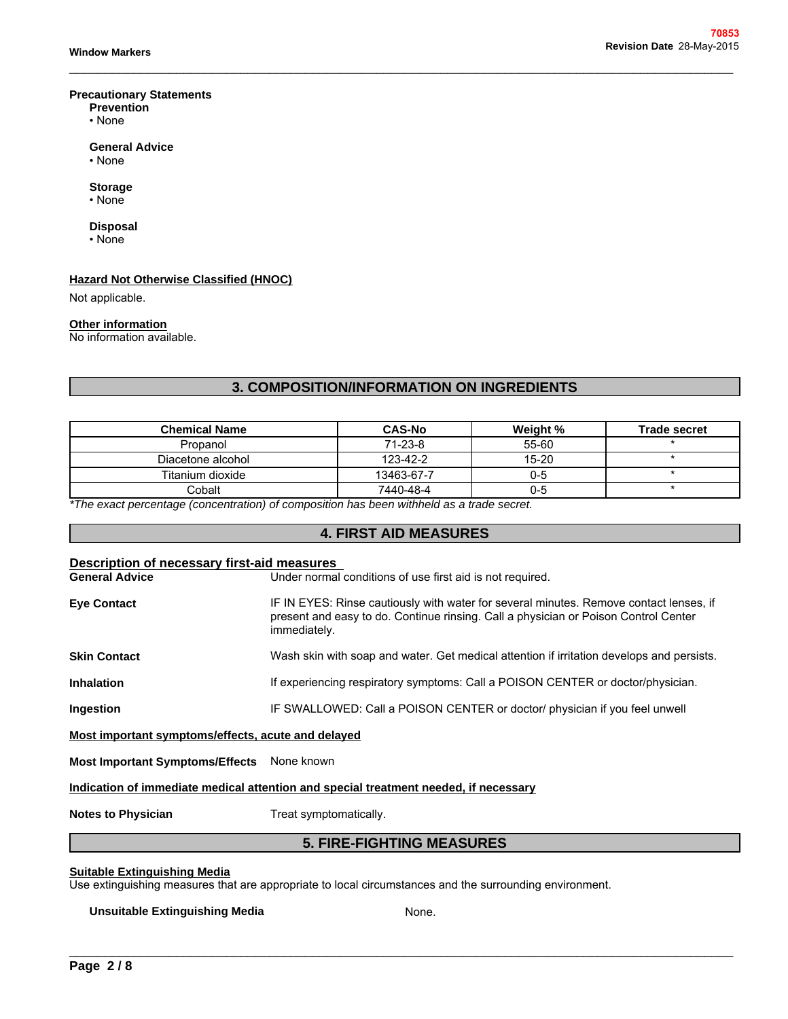### **Precautionary Statements**

- **Prevention**
- None **but the contract of the contract of the contract of the contract of the contract of the contract of the contract of the contract of the contract of the contract of the contract of the contract of the contract of th**

### **General Advice**

• None

### **Storage**

### **Disposal**

### **Hazard Not Otherwise Classified (HNOC)**

### **Other information**

\_\_\_\_\_\_\_\_\_\_\_\_\_\_\_\_\_\_\_\_\_\_\_\_\_\_\_\_\_\_\_\_\_\_\_\_\_\_\_\_\_\_\_\_\_\_\_\_\_\_\_\_\_\_\_\_\_\_\_\_\_\_\_\_\_\_\_\_\_\_\_\_\_\_\_\_\_\_\_\_\_\_\_\_\_\_\_\_\_\_\_\_\_

| <b>Storage</b><br>$\cdot$ None                                                            |                                                  |          |                     |
|-------------------------------------------------------------------------------------------|--------------------------------------------------|----------|---------------------|
| <b>Disposal</b><br>• None                                                                 |                                                  |          |                     |
| <b>Hazard Not Otherwise Classified (HNOC)</b>                                             |                                                  |          |                     |
| Not applicable.                                                                           |                                                  |          |                     |
| <b>Other information</b>                                                                  |                                                  |          |                     |
| No information available.                                                                 |                                                  |          |                     |
|                                                                                           |                                                  |          |                     |
|                                                                                           |                                                  |          |                     |
|                                                                                           |                                                  |          |                     |
|                                                                                           | <b>3. COMPOSITION/INFORMATION ON INGREDIENTS</b> |          |                     |
|                                                                                           |                                                  |          |                     |
| <b>Chemical Name</b>                                                                      | <b>CAS-No</b>                                    | Weight % | <b>Trade secret</b> |
| Propanol                                                                                  | 71-23-8                                          | 55-60    | $\star$             |
| Diacetone alcohol                                                                         | 123-42-2                                         | 15-20    | $\star$             |
| Titanium dioxide                                                                          | 13463-67-7                                       | $0 - 5$  | $\star$             |
| Cobalt                                                                                    | 7440-48-4                                        | $0 - 5$  | $\star$             |
|                                                                                           |                                                  |          |                     |
| *The exact percentage (concentration) of composition has been withheld as a trade secret. |                                                  |          |                     |
|                                                                                           |                                                  |          |                     |
|                                                                                           | <b>4. FIRST AID MEASURES</b>                     |          |                     |
| <b>Description of necessary first-aid measures</b>                                        |                                                  |          |                     |

# **Description of necessary first-aid measures General Advice** Under normal conditions of use first aid is not required. Eye Contact **IF IN EYES: Rinse cautiously with water for several minutes. Remove contact lenses, if** present and easy to do. Continue rinsing. Call a physician or Poison Control Center immediately. **Skin Contact** Wash skin with soap and water. Get medical attention if irritation develops and persists. **Inhalation** If experiencing respiratory symptoms: Call a POISON CENTER or doctor/physician. **Ingestion IF SWALLOWED: Call a POISON CENTER or doctor/ physician if you feel unwell Most important symptoms/effects, acute and delayed Most Important Symptoms/Effects** None known **Indication of immediate medical attention and special treatment needed, if necessary** The mass of a content of the dialety.<br> **Skin with soap and water. Get medical attention if irritation develops and periencing respiratory symptoms: Call a POISON CENTER or doctor/physicial<br>
ALLOWED: Call a POISON CENTER or**

**Notes to Physician** Treat symptomatically.

### **Suitable Extinguishing Media**

Use extinguishing measures that are appropriate to local circumstances and the surrounding environment.

# \_\_\_\_\_\_\_\_\_\_\_\_\_\_\_\_\_\_\_\_\_\_\_\_\_\_\_\_\_\_\_\_\_\_\_\_\_\_\_\_\_\_\_\_\_\_\_\_\_\_\_\_\_\_\_\_\_\_\_\_\_\_\_\_\_\_\_\_\_\_\_\_\_\_\_\_\_\_\_\_\_\_\_\_\_\_\_\_\_\_\_\_\_ **Unsuitable Extinguishing Media**

None.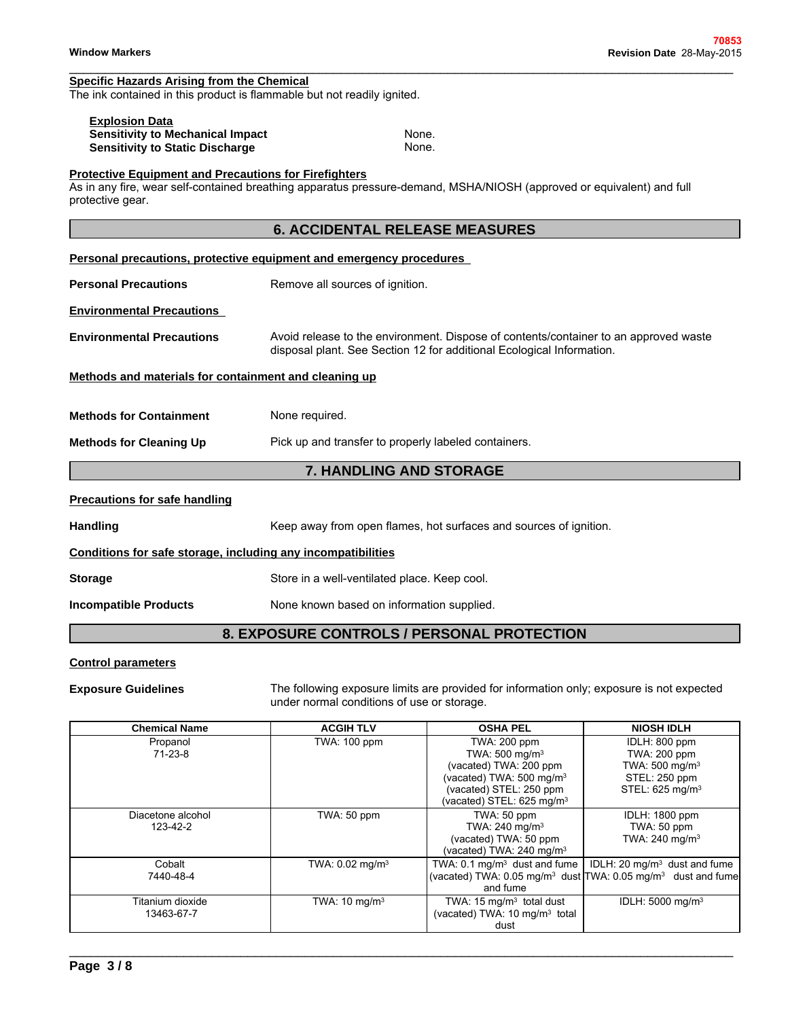### **Specific Hazards Arising from the Chemical**

| <b>Explosion Data</b>                   |       |
|-----------------------------------------|-------|
| <b>Sensitivity to Mechanical Impact</b> | None. |
| <b>Sensitivity to Static Discharge</b>  | None. |

### **Protective Equipment and Precautions for Firefighters**

|                                                                                   | 70853                                                                                                                                                         |
|-----------------------------------------------------------------------------------|---------------------------------------------------------------------------------------------------------------------------------------------------------------|
| <b>Window Markers</b>                                                             | Revision Date 28-May-2015                                                                                                                                     |
| <b>Specific Hazards Arising from the Chemical</b>                                 |                                                                                                                                                               |
| The ink contained in this product is flammable but not readily ignited.           |                                                                                                                                                               |
| <b>Explosion Data</b>                                                             |                                                                                                                                                               |
| <b>Sensitivity to Mechanical Impact</b><br><b>Sensitivity to Static Discharge</b> | None.<br>None.                                                                                                                                                |
|                                                                                   |                                                                                                                                                               |
| <b>Protective Equipment and Precautions for Firefighters</b><br>protective gear.  | As in any fire, wear self-contained breathing apparatus pressure-demand, MSHA/NIOSH (approved or equivalent) and full                                         |
|                                                                                   | <b>6. ACCIDENTAL RELEASE MEASURES</b>                                                                                                                         |
|                                                                                   | Personal precautions, protective equipment and emergency procedures                                                                                           |
| <b>Personal Precautions</b>                                                       | Remove all sources of ignition.                                                                                                                               |
| <b>Environmental Precautions</b>                                                  |                                                                                                                                                               |
| <b>Environmental Precautions</b>                                                  | Avoid release to the environment. Dispose of contents/container to an approved waste<br>disposal plant. See Section 12 for additional Ecological Information. |
| Methods and materials for containment and cleaning up                             |                                                                                                                                                               |
| <b>Methods for Containment</b>                                                    | None required.                                                                                                                                                |
| <b>Methods for Cleaning Up</b>                                                    | Pick up and transfer to properly labeled containers.                                                                                                          |
|                                                                                   | 7. HANDLING AND STORAGE                                                                                                                                       |
| <b>Precautions for safe handling</b>                                              |                                                                                                                                                               |
| <b>Handling</b>                                                                   | Keep away from open flames, hot surfaces and sources of ignition.                                                                                             |
| Conditions for safe storage, including any incompatibilities                      |                                                                                                                                                               |
| <b>Storage</b>                                                                    | Store in a well-ventilated place. Keep cool.                                                                                                                  |
| <b>Incompatible Products</b>                                                      | None known based on information supplied.                                                                                                                     |
|                                                                                   | 8. EXPOSURE CONTROLS / PERSONAL PROTECTION                                                                                                                    |
| <b>Control parameters</b>                                                         |                                                                                                                                                               |
| <b>Exposure Guidelines</b>                                                        | The following exposure limits are provided for information only: exposure is not expected                                                                     |

### **Control parameters**

**Exposure Guidelines** The following exposure limits are provided for information only; exposure is not expected under normal conditions of use or storage.

\_\_\_\_\_\_\_\_\_\_\_\_\_\_\_\_\_\_\_\_\_\_\_\_\_\_\_\_\_\_\_\_\_\_\_\_\_\_\_\_\_\_\_\_\_\_\_\_\_\_\_\_\_\_\_\_\_\_\_\_\_\_\_\_\_\_\_\_\_\_\_\_\_\_\_\_\_\_\_\_\_\_\_\_\_\_\_\_\_\_\_\_\_

| <b>Chemical Name</b>           | <b>ACGIH TLV</b>              | <b>OSHA PEL</b>                                                                                                                                                                  | <b>NIOSH IDLH</b>                                                                                                                   |
|--------------------------------|-------------------------------|----------------------------------------------------------------------------------------------------------------------------------------------------------------------------------|-------------------------------------------------------------------------------------------------------------------------------------|
| Propanol<br>71-23-8            | TWA: 100 ppm                  | TWA: 200 ppm<br>TWA: 500 mg/m <sup>3</sup><br>(vacated) TWA: 200 ppm<br>(vacated) TWA: 500 mg/m <sup>3</sup><br>(vacated) STEL: 250 ppm<br>(vacated) STEL: 625 mg/m <sup>3</sup> | IDLH: 800 ppm<br>TWA: 200 ppm<br>TWA: 500 mg/m <sup>3</sup><br>STEL: 250 ppm<br>STEL: 625 mg/m <sup>3</sup>                         |
| Diacetone alcohol<br>123-42-2  | TWA: 50 ppm                   | TWA: 50 ppm<br>TWA: $240$ mg/m <sup>3</sup><br>(vacated) TWA: 50 ppm<br>(vacated) TWA: $240 \text{ mg/m}^3$                                                                      | IDLH: 1800 ppm<br>TWA: 50 ppm<br>TWA: 240 mg/m <sup>3</sup>                                                                         |
| Cobalt<br>7440-48-4            | TWA: $0.02$ mg/m <sup>3</sup> | TWA: $0.1 \text{ mg/m}^3$ dust and fume $\parallel$<br>and fume                                                                                                                  | IDLH: $20 \text{ mg/m}^3$ dust and fume<br>(vacated) TWA: $0.05$ mg/m <sup>3</sup> dust TWA: $0.05$ mg/m <sup>3</sup> dust and fume |
| Titanium dioxide<br>13463-67-7 | TWA: $10 \text{ mg/m}^3$      | TWA: $15 \text{ mg/m}^3$ total dust<br>(vacated) TWA: 10 mg/m <sup>3</sup> total<br>dust                                                                                         | IDLH: 5000 mg/m <sup>3</sup>                                                                                                        |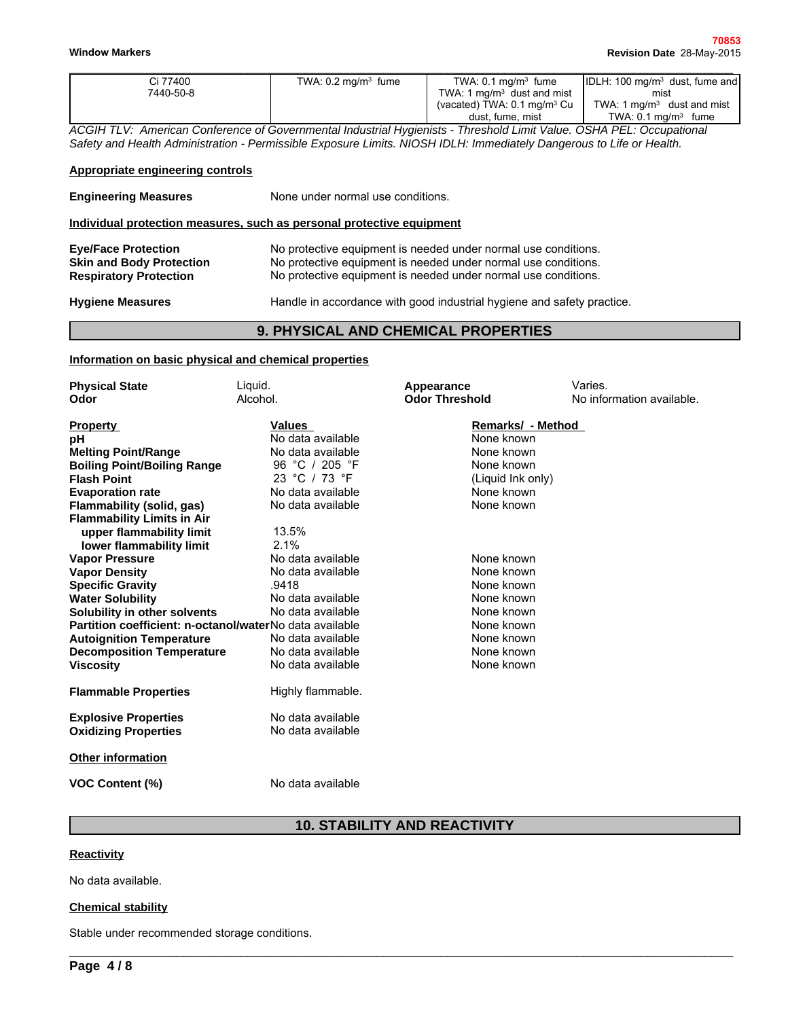| Ci 77400  | TWA: $0.2 \text{ mg/m}^3$ fume | TWA: $0.1 \text{ ma/m}^3$ fume         | $ IDLH: 100 mg/m3 dust, fume and$ |
|-----------|--------------------------------|----------------------------------------|-----------------------------------|
| 7440-50-8 |                                | TWA: 1 $mq/m3$ dust and mist           | mist                              |
|           |                                | (vacated) TWA: $0.1 \text{ mg/m}^3$ Cu | TWA: 1 $mq/m3$ dust and mist      |
|           |                                | dust, fume, mist                       | TWA: $0.1 \text{ mg/m}^3$ fume    |

### **Appropriate engineering controls**

| Information on basic physical and chemical properties<br><b>Physical State</b>                 | _iauid. |                                   | Appearance                                                                                                                                                                                                                                   | Varies.                        |
|------------------------------------------------------------------------------------------------|---------|-----------------------------------|----------------------------------------------------------------------------------------------------------------------------------------------------------------------------------------------------------------------------------------------|--------------------------------|
|                                                                                                |         |                                   | <b>9. PHYSICAL AND CHEMICAL PROPERTIES</b>                                                                                                                                                                                                   |                                |
| <b>Hygiene Measures</b>                                                                        |         |                                   | Handle in accordance with good industrial hygiene and safety practice.                                                                                                                                                                       |                                |
| <b>Eye/Face Protection</b><br><b>Skin and Body Protection</b><br><b>Respiratory Protection</b> |         |                                   | No protective equipment is needed under normal use conditions.<br>No protective equipment is needed under normal use conditions.<br>No protective equipment is needed under normal use conditions.                                           |                                |
| Individual protection measures, such as personal protective equipment                          |         |                                   |                                                                                                                                                                                                                                              |                                |
| <b>Engineering Measures</b>                                                                    |         | None under normal use conditions. |                                                                                                                                                                                                                                              |                                |
| <b>Appropriate engineering controls</b>                                                        |         |                                   |                                                                                                                                                                                                                                              |                                |
|                                                                                                |         |                                   | ACGIH TLV: American Conference of Governmental Industrial Hygienists - Threshold Limit Value. OSHA PEL: Occupational<br>Safety and Health Administration - Permissible Exposure Limits. NIOSH IDLH: Immediately Dangerous to Life or Health. |                                |
|                                                                                                |         |                                   | dust, fume, mist                                                                                                                                                                                                                             | TWA: $0.1 \text{ mg/m}^3$ fume |
|                                                                                                |         |                                   |                                                                                                                                                                                                                                              |                                |

### **Information on basic physical and chemical properties**

| <b>Physical State</b>                                   | Liquid.           | Appearance                          | Varies.                   |
|---------------------------------------------------------|-------------------|-------------------------------------|---------------------------|
| Odor                                                    | Alcohol.          | <b>Odor Threshold</b>               | No information available. |
|                                                         |                   |                                     |                           |
| <b>Property</b>                                         | <b>Values</b>     | Remarks/ - Method                   |                           |
| рH                                                      | No data available | None known                          |                           |
| <b>Melting Point/Range</b>                              | No data available | None known                          |                           |
| <b>Boiling Point/Boiling Range</b>                      | 96 °C / 205 °F    | None known                          |                           |
| <b>Flash Point</b>                                      | 23 °C / 73 °F     | (Liquid Ink only)                   |                           |
| <b>Evaporation rate</b>                                 | No data available | None known                          |                           |
| Flammability (solid, gas)                               | No data available | None known                          |                           |
| <b>Flammability Limits in Air</b>                       |                   |                                     |                           |
| upper flammability limit                                | 13.5%             |                                     |                           |
| lower flammability limit                                | 2.1%              |                                     |                           |
| <b>Vapor Pressure</b>                                   | No data available | None known                          |                           |
| <b>Vapor Density</b>                                    | No data available | None known                          |                           |
| <b>Specific Gravity</b>                                 | .9418             | None known                          |                           |
| <b>Water Solubility</b>                                 | No data available | None known                          |                           |
| Solubility in other solvents                            | No data available | None known                          |                           |
| Partition coefficient: n-octanol/waterNo data available |                   | None known                          |                           |
| <b>Autoignition Temperature</b>                         | No data available | None known                          |                           |
| <b>Decomposition Temperature</b>                        | No data available | None known                          |                           |
| <b>Viscosity</b>                                        | No data available | None known                          |                           |
| <b>Flammable Properties</b>                             | Highly flammable. |                                     |                           |
|                                                         |                   |                                     |                           |
| <b>Explosive Properties</b>                             | No data available |                                     |                           |
| <b>Oxidizing Properties</b>                             | No data available |                                     |                           |
| <b>Other information</b>                                |                   |                                     |                           |
| <b>VOC Content (%)</b>                                  | No data available |                                     |                           |
|                                                         |                   | <b>10. STABILITY AND REACTIVITY</b> |                           |
|                                                         |                   |                                     |                           |
| <b>Reactivity</b>                                       |                   |                                     |                           |
| No data available.                                      |                   |                                     |                           |

\_\_\_\_\_\_\_\_\_\_\_\_\_\_\_\_\_\_\_\_\_\_\_\_\_\_\_\_\_\_\_\_\_\_\_\_\_\_\_\_\_\_\_\_\_\_\_\_\_\_\_\_\_\_\_\_\_\_\_\_\_\_\_\_\_\_\_\_\_\_\_\_\_\_\_\_\_\_\_\_\_\_\_\_\_\_\_\_\_\_\_\_\_

### **Reactivity**

No data available.

### **Chemical stability**

Stable under recommended storage conditions.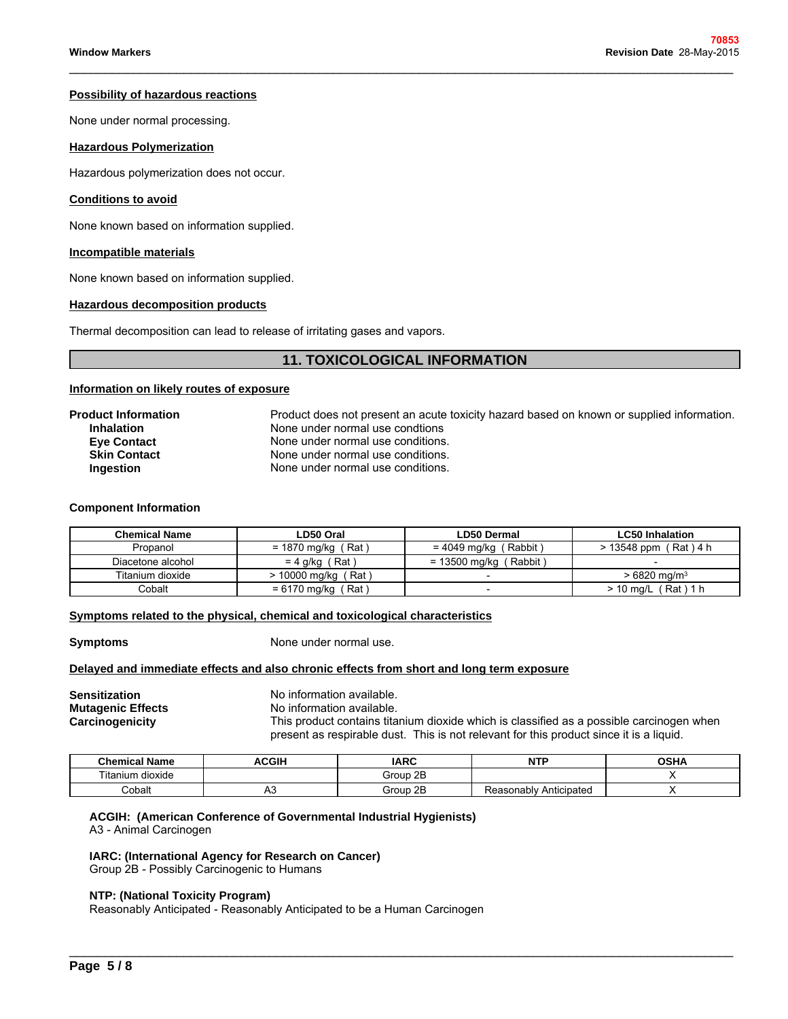### **Possibility of hazardous reactions**

None under normal processing.

### **Hazardous Polymerization**

### **Conditions to avoid**

### **Incompatible materials**

### **Hazardous decomposition products**

\_\_\_\_\_\_\_\_\_\_\_\_\_\_\_\_\_\_\_\_\_\_\_\_\_\_\_\_\_\_\_\_\_\_\_\_\_\_\_\_\_\_\_\_\_\_\_\_\_\_\_\_\_\_\_\_\_\_\_\_\_\_\_\_\_\_\_\_\_\_\_\_\_\_\_\_\_\_\_\_\_\_\_\_\_\_\_\_\_\_\_\_\_

### **Information on likely routes of exposure**

| <b>Hazardous Polymerization</b>                                                                           |                                                                                                                                                                                                                                             |
|-----------------------------------------------------------------------------------------------------------|---------------------------------------------------------------------------------------------------------------------------------------------------------------------------------------------------------------------------------------------|
| Hazardous polymerization does not occur.                                                                  |                                                                                                                                                                                                                                             |
| <b>Conditions to avoid</b>                                                                                |                                                                                                                                                                                                                                             |
| None known based on information supplied.                                                                 |                                                                                                                                                                                                                                             |
| Incompatible materials                                                                                    |                                                                                                                                                                                                                                             |
| None known based on information supplied.                                                                 |                                                                                                                                                                                                                                             |
| <b>Hazardous decomposition products</b>                                                                   |                                                                                                                                                                                                                                             |
|                                                                                                           | Thermal decomposition can lead to release of irritating gases and vapors.                                                                                                                                                                   |
|                                                                                                           | <b>11. TOXICOLOGICAL INFORMATION</b>                                                                                                                                                                                                        |
| Information on likely routes of exposure                                                                  |                                                                                                                                                                                                                                             |
| <b>Product Information</b><br><b>Inhalation</b><br><b>Eye Contact</b><br><b>Skin Contact</b><br>Ingestion | Product does not present an acute toxicity hazard based on known or supplied information.<br>None under normal use condtions<br>None under normal use conditions.<br>None under normal use conditions.<br>None under normal use conditions. |

### **Component Information**

| <b>Product Information</b><br><b>Inhalation</b><br><b>Eve Contact</b><br><b>Skin Contact</b><br>Ingestion |                       | Product does not present an acute toxicity hazard based on known or supplied information.<br>None under normal use condtions<br>None under normal use conditions.<br>None under normal use conditions.<br>None under normal use conditions. |                           |  |  |
|-----------------------------------------------------------------------------------------------------------|-----------------------|---------------------------------------------------------------------------------------------------------------------------------------------------------------------------------------------------------------------------------------------|---------------------------|--|--|
| <b>Component Information</b><br><b>Chemical Name</b>                                                      | LD50 Oral             | <b>LD50 Dermal</b>                                                                                                                                                                                                                          | <b>LC50 Inhalation</b>    |  |  |
| Propanol                                                                                                  | $= 1870$ mg/kg (Rat)  | $= 4049$ mg/kg (Rabbit)                                                                                                                                                                                                                     | $>$ 13548 ppm (Rat) 4 h   |  |  |
| Diacetone alcohol                                                                                         | $= 4$ g/kg (Rat)      | $= 13500$ mg/kg (Rabbit)                                                                                                                                                                                                                    |                           |  |  |
|                                                                                                           | $> 10000$ mg/kg (Rat) |                                                                                                                                                                                                                                             | $>6820$ mg/m <sup>3</sup> |  |  |
| Titanium dioxide                                                                                          |                       |                                                                                                                                                                                                                                             |                           |  |  |

### **Symptoms related to the physical, chemical and toxicological characteristics**

**Symptoms** None under normal use.

### **Delayed and immediate effects and also chronic effects from short and long term exposure**

**Sensitization**<br> **Mutagenic Effects**<br>
Mo information available. **No information available. Carcinogenicity** This product contains titanium dioxide which is classified as a possible carcinogen when present as respirable dust. This is not relevant for this product since it is a liquid.

| <b>Chemical Name</b>                | <b>ACGIF</b> | <b>IARC</b> | <b>NITI</b><br>.          | <b>OSHA</b> |
|-------------------------------------|--------------|-------------|---------------------------|-------------|
| $- \cdot \cdot$<br>⊺itanium dioxide |              | Group 2B    |                           |             |
| Cobalt                              | ™            | Group 2B    | Anticipateo<br>Reasonably |             |

### **ACGIH: (American Conference of Governmental Industrial Hygienists)**

A3 - Animal Carcinogen

### **IARC: (International Agency for Research on Cancer)**

Group 2B - Possibly Carcinogenic to Humans

### **NTP: (National Toxicity Program)**

Reasonably Anticipated - Reasonably Anticipated to be a Human Carcinogen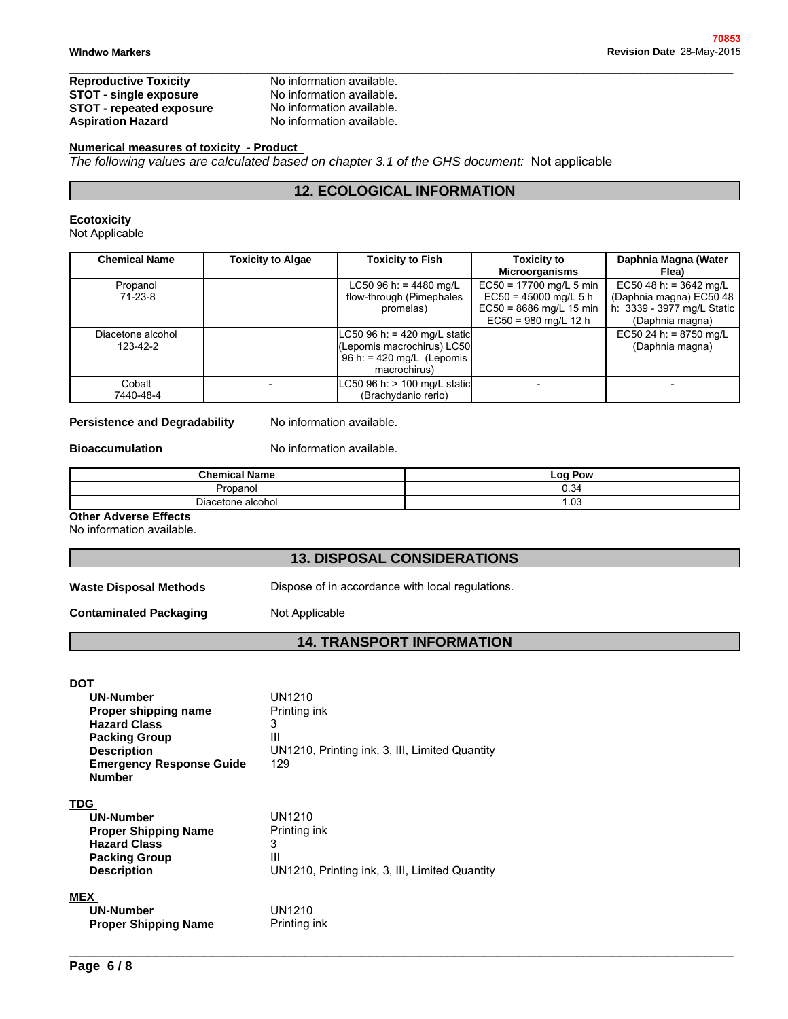### **Reproductive Toxicity** No information available.<br> **STOT - single exposure** No information available. **STOT - single exposure** No information available.<br>**STOT - repeated exposure** No information available. **STOT - repeated exposure<br>Aspiration Hazard**

No information available. **12. Example 12. Example:**<br> **12. ECOLOGICAL INFORMATION**<br> **12. ECOLOGICAL INFORMATION**<br> **12. ECOLOGICAL INFORMATION** 

### **Numerical measures of toxicity - Product**

*The following values are calculated based on chapter 3.1 of the GHS document:* Not applicable

\_\_\_\_\_\_\_\_\_\_\_\_\_\_\_\_\_\_\_\_\_\_\_\_\_\_\_\_\_\_\_\_\_\_\_\_\_\_\_\_\_\_\_\_\_\_\_\_\_\_\_\_\_\_\_\_\_\_\_\_\_\_\_\_\_\_\_\_\_\_\_\_\_\_\_\_\_\_\_\_\_\_\_\_\_\_\_\_\_\_\_\_\_

### **Ecotoxicity**

Not Applicable

| <b>Chemical Name</b>                                           | <b>Toxicity to Algae</b>                               | <b>Toxicity to Fish</b>                                                                                  | <b>Toxicity to</b><br><b>Microorganisms</b>                                                                            | Daphnia Magna (Water<br>Flea)                                                                        |
|----------------------------------------------------------------|--------------------------------------------------------|----------------------------------------------------------------------------------------------------------|------------------------------------------------------------------------------------------------------------------------|------------------------------------------------------------------------------------------------------|
| Propanol<br>$71-23-8$                                          |                                                        | LC50 96 h: = 4480 mg/L<br>flow-through (Pimephales<br>promelas)                                          | $\overline{EC50}$ = 17700 mg/L 5 min<br>$EC50 = 45000$ mg/L 5 h<br>$EC50 = 8686$ mg/L 15 min<br>$EC50 = 980$ mg/L 12 h | EC50 48 h: = $3642$ mg/L<br>(Daphnia magna) EC50 48<br>h: 3339 - 3977 mg/L Static<br>(Daphnia magna) |
| Diacetone alcohol<br>123-42-2                                  |                                                        | $C50$ 96 h: = 420 mg/L static<br>(Lepomis macrochirus) LC50<br>96 h: = 420 mg/L (Lepomis<br>macrochirus) |                                                                                                                        | EC50 24 h: = $8750$ mg/L<br>(Daphnia magna)                                                          |
| Cobalt<br>7440-48-4                                            |                                                        | C50 96 h: > 100 mg/L static<br>(Brachydanio rerio)                                                       |                                                                                                                        |                                                                                                      |
| <b>Persistence and Degradability</b><br><b>Bioaccumulation</b> | No information available.<br>No information available. |                                                                                                          |                                                                                                                        |                                                                                                      |
|                                                                | <b>Chemical Name</b>                                   |                                                                                                          | <b>Log Pow</b>                                                                                                         |                                                                                                      |
|                                                                | Propanol                                               |                                                                                                          | 0.34                                                                                                                   |                                                                                                      |
|                                                                | Diacetone alcohol                                      |                                                                                                          | 1.03                                                                                                                   |                                                                                                      |
| <b>Other Adverse Effects</b><br>No information available.      |                                                        |                                                                                                          |                                                                                                                        |                                                                                                      |
|                                                                |                                                        | <b>13. DISPOSAL CONSIDERATIONS</b>                                                                       |                                                                                                                        |                                                                                                      |
| <b>Waste Disposal Methods</b>                                  |                                                        | Dispose of in accordance with local regulations.                                                         |                                                                                                                        |                                                                                                      |
| <b>Contaminated Packaging</b>                                  | Not Applicable                                         |                                                                                                          |                                                                                                                        |                                                                                                      |

### **Persistence and Degradability** No information available.

### **Bioaccumulation** No information available.

| <b>Persistence and Degradability</b>                      | No information available.                        |                                    |  |  |  |
|-----------------------------------------------------------|--------------------------------------------------|------------------------------------|--|--|--|
| <b>Bioaccumulation</b>                                    | No information available.                        |                                    |  |  |  |
| <b>Chemical Name</b>                                      |                                                  | Log Pow                            |  |  |  |
| Propanol                                                  |                                                  | 0.34                               |  |  |  |
| Diacetone alcohol                                         |                                                  | 1.03                               |  |  |  |
| <b>Other Adverse Effects</b><br>No information available. |                                                  |                                    |  |  |  |
|                                                           |                                                  | <b>13. DISPOSAL CONSIDERATIONS</b> |  |  |  |
| <b>Waste Disposal Methods</b>                             | Dispose of in accordance with local regulations. |                                    |  |  |  |
| <b>Contaminated Packaging</b>                             | Not Applicable                                   |                                    |  |  |  |
|                                                           |                                                  | <b>14. TRANSPORT INFORMATION</b>   |  |  |  |
|                                                           |                                                  |                                    |  |  |  |
| <b>DOT</b><br><b>UN-Number</b>                            | UN1210                                           |                                    |  |  |  |

### **Other Adverse Effects**

| UN1210<br><b>UN-Number</b><br>Printing ink<br>Proper shipping name<br>3<br><b>Hazard Class</b><br>Ш<br><b>Packing Group</b><br>UN1210, Printing ink, 3, III, Limited Quantity<br><b>Description</b><br><b>Emergency Response Guide</b><br>129<br><b>Number</b> |  |
|----------------------------------------------------------------------------------------------------------------------------------------------------------------------------------------------------------------------------------------------------------------|--|
|                                                                                                                                                                                                                                                                |  |
|                                                                                                                                                                                                                                                                |  |
|                                                                                                                                                                                                                                                                |  |
|                                                                                                                                                                                                                                                                |  |
|                                                                                                                                                                                                                                                                |  |
|                                                                                                                                                                                                                                                                |  |
|                                                                                                                                                                                                                                                                |  |
| TDG                                                                                                                                                                                                                                                            |  |
| UN1210<br><b>UN-Number</b>                                                                                                                                                                                                                                     |  |
| <b>Proper Shipping Name</b><br>Printing ink                                                                                                                                                                                                                    |  |
| <b>Hazard Class</b><br>3                                                                                                                                                                                                                                       |  |
| Ш<br><b>Packing Group</b>                                                                                                                                                                                                                                      |  |
| UN1210, Printing ink, 3, III, Limited Quantity<br><b>Description</b>                                                                                                                                                                                           |  |
| <b>MEX</b>                                                                                                                                                                                                                                                     |  |
| <b>UN-Number</b><br>UN1210                                                                                                                                                                                                                                     |  |
| Printing ink<br><b>Proper Shipping Name</b>                                                                                                                                                                                                                    |  |
|                                                                                                                                                                                                                                                                |  |
|                                                                                                                                                                                                                                                                |  |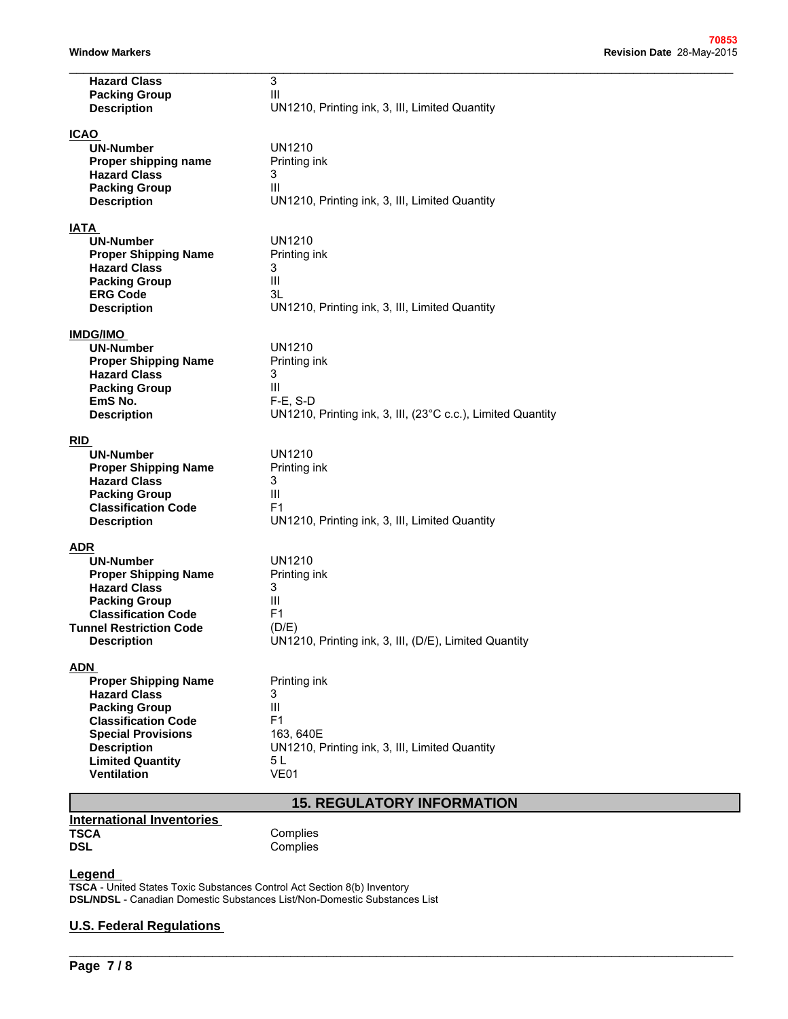| <b>Hazard Class</b>                                | 3                                                           |
|----------------------------------------------------|-------------------------------------------------------------|
| <b>Packing Group</b>                               | Ш                                                           |
| <b>Description</b>                                 | UN1210, Printing ink, 3, III, Limited Quantity              |
| <b>ICAO</b>                                        |                                                             |
| <b>UN-Number</b>                                   | <b>UN1210</b>                                               |
| Proper shipping name                               | Printing ink                                                |
| <b>Hazard Class</b>                                | 3                                                           |
| <b>Packing Group</b>                               | Ш                                                           |
| <b>Description</b>                                 | UN1210, Printing ink, 3, III, Limited Quantity              |
|                                                    |                                                             |
| <b>IATA</b>                                        |                                                             |
| <b>UN-Number</b>                                   | <b>UN1210</b>                                               |
| <b>Proper Shipping Name</b>                        | Printing ink                                                |
| <b>Hazard Class</b>                                | 3                                                           |
| <b>Packing Group</b>                               | Ш                                                           |
| <b>ERG Code</b>                                    | 3L                                                          |
| <b>Description</b>                                 | UN1210, Printing ink, 3, III, Limited Quantity              |
| <b>IMDG/IMO</b>                                    |                                                             |
| <b>UN-Number</b>                                   | <b>UN1210</b>                                               |
| <b>Proper Shipping Name</b>                        |                                                             |
| <b>Hazard Class</b>                                | Printing ink<br>3                                           |
| <b>Packing Group</b>                               | Ш                                                           |
| EmS No.                                            | $F-E$ , S-D                                                 |
| <b>Description</b>                                 | UN1210, Printing ink, 3, III, (23°C c.c.), Limited Quantity |
|                                                    |                                                             |
| <b>RID</b>                                         |                                                             |
| <b>UN-Number</b>                                   | <b>UN1210</b>                                               |
| <b>Proper Shipping Name</b>                        | Printing ink                                                |
| <b>Hazard Class</b>                                | 3                                                           |
| <b>Packing Group</b>                               | $\mathop{\rm III}$                                          |
| <b>Classification Code</b>                         | F <sub>1</sub>                                              |
| <b>Description</b>                                 | UN1210, Printing ink, 3, III, Limited Quantity              |
|                                                    |                                                             |
| <b>ADR</b>                                         |                                                             |
| <b>UN-Number</b>                                   | <b>UN1210</b>                                               |
| <b>Proper Shipping Name</b>                        | Printing ink<br>3                                           |
| <b>Hazard Class</b>                                |                                                             |
| <b>Packing Group</b><br><b>Classification Code</b> | Ш<br>F <sub>1</sub>                                         |
| <b>Tunnel Restriction Code</b>                     | (D/E)                                                       |
| <b>Description</b>                                 | UN1210, Printing ink, 3, III, (D/E), Limited Quantity       |
|                                                    |                                                             |
| <b>ADN</b>                                         |                                                             |
| <b>Proper Shipping Name</b>                        | Printing ink                                                |
| <b>Hazard Class</b>                                | 3                                                           |
| <b>Packing Group</b>                               | Ш                                                           |
| <b>Classification Code</b>                         | F1                                                          |
| <b>Special Provisions</b>                          | 163, 640E                                                   |
| <b>Description</b>                                 | UN1210, Printing ink, 3, III, Limited Quantity              |
| <b>Limited Quantity</b>                            | 5 <sub>L</sub>                                              |
| Ventilation                                        | <b>VE01</b>                                                 |
|                                                    |                                                             |
|                                                    | <b>15. REGULATORY INFORMATION</b>                           |
| <b>International Inventories</b>                   |                                                             |
| <b>TSCA</b>                                        | Complies                                                    |
| <b>DSL</b>                                         | Complies                                                    |
|                                                    |                                                             |

\_\_\_\_\_\_\_\_\_\_\_\_\_\_\_\_\_\_\_\_\_\_\_\_\_\_\_\_\_\_\_\_\_\_\_\_\_\_\_\_\_\_\_\_\_\_\_\_\_\_\_\_\_\_\_\_\_\_\_\_\_\_\_\_\_\_\_\_\_\_\_\_\_\_\_\_\_\_\_\_\_\_\_\_\_\_\_\_\_\_\_\_\_

| International Inventories |     |
|---------------------------|-----|
| <b>TSCA</b>               | Con |
| <b>DSL</b>                | Con |

### **Legend**

**TSCA** - United States Toxic Substances Control Act Section 8(b) Inventory **DSL/NDSL** - Canadian Domestic Substances List/Non-Domestic Substances List

### **U.S. Federal Regulations**